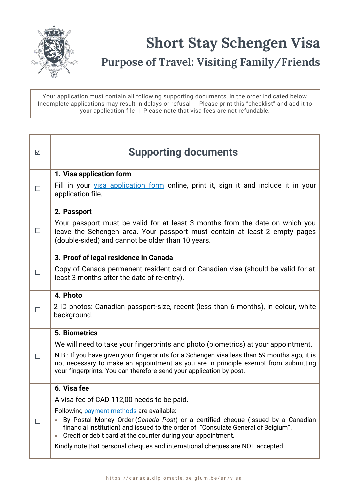

## **Purpose of Travel: Visiting Family/Friends**

Your application must contain all following supporting documents, in the order indicated below Incomplete applications may result in delays or refusal | Please print this "checklist" and add it to your application file | Please note that visa fees are not refundable.

| $\overline{\mathbf{v}}$ | <b>Supporting documents</b>                                                                                                                                                                                                                                                                                                                                                    |
|-------------------------|--------------------------------------------------------------------------------------------------------------------------------------------------------------------------------------------------------------------------------------------------------------------------------------------------------------------------------------------------------------------------------|
|                         | 1. Visa application form                                                                                                                                                                                                                                                                                                                                                       |
| $\mathsf{L}$            | Fill in your visa application form online, print it, sign it and include it in your<br>application file.                                                                                                                                                                                                                                                                       |
|                         | 2. Passport                                                                                                                                                                                                                                                                                                                                                                    |
| $\Box$                  | Your passport must be valid for at least 3 months from the date on which you<br>leave the Schengen area. Your passport must contain at least 2 empty pages<br>(double-sided) and cannot be older than 10 years.                                                                                                                                                                |
|                         | 3. Proof of legal residence in Canada                                                                                                                                                                                                                                                                                                                                          |
| $\Box$                  | Copy of Canada permanent resident card or Canadian visa (should be valid for at<br>least 3 months after the date of re-entry).                                                                                                                                                                                                                                                 |
|                         | 4. Photo                                                                                                                                                                                                                                                                                                                                                                       |
|                         | 2 ID photos: Canadian passport-size, recent (less than 6 months), in colour, white<br>background.                                                                                                                                                                                                                                                                              |
| П                       | <b>5. Biometrics</b>                                                                                                                                                                                                                                                                                                                                                           |
|                         | We will need to take your fingerprints and photo (biometrics) at your appointment.                                                                                                                                                                                                                                                                                             |
|                         | N.B.: If you have given your fingerprints for a Schengen visa less than 59 months ago, it is<br>not necessary to make an appointment as you are in principle exempt from submitting<br>your fingerprints. You can therefore send your application by post.                                                                                                                     |
|                         | 6. Visa fee                                                                                                                                                                                                                                                                                                                                                                    |
|                         | A visa fee of CAD 112,00 needs to be paid.                                                                                                                                                                                                                                                                                                                                     |
|                         | Following payment methods are available:<br>By Postal Money Order (Canada Post) or a certified cheque (issued by a Canadian<br>financial institution) and issued to the order of "Consulate General of Belgium".<br>Credit or debit card at the counter during your appointment.<br>$\bullet$<br>Kindly note that personal cheques and international cheques are NOT accepted. |
|                         |                                                                                                                                                                                                                                                                                                                                                                                |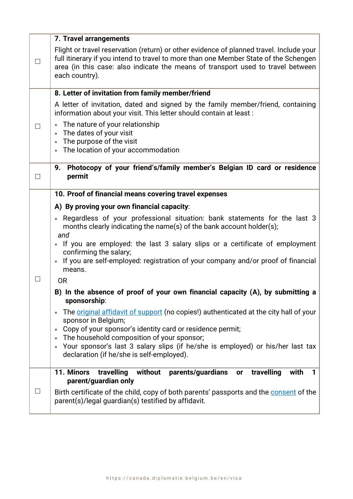|        | 7. Travel arrangements                                                                                                                                                                                                                                                                                           |
|--------|------------------------------------------------------------------------------------------------------------------------------------------------------------------------------------------------------------------------------------------------------------------------------------------------------------------|
| $\Box$ | Flight or travel reservation (return) or other evidence of planned travel. Include your<br>full itinerary if you intend to travel to more than one Member State of the Schengen<br>area (in this case: also indicate the means of transport used to travel between<br>each country).                             |
|        | 8. Letter of invitation from family member/friend                                                                                                                                                                                                                                                                |
| П      | A letter of invitation, dated and signed by the family member/friend, containing<br>information about your visit. This letter should contain at least:<br>The nature of your relationship<br>The dates of your visit<br>The purpose of the visit<br>$\bullet$<br>The location of your accommodation<br>$\bullet$ |
|        | Photocopy of your friend's/family member's Belgian ID card or residence<br>9.                                                                                                                                                                                                                                    |
| П      | permit                                                                                                                                                                                                                                                                                                           |
|        | 10. Proof of financial means covering travel expenses                                                                                                                                                                                                                                                            |
|        | A) By proving your own financial capacity:                                                                                                                                                                                                                                                                       |
|        | • Regardless of your professional situation: bank statements for the last 3<br>months clearly indicating the name(s) of the bank account holder(s);<br>and                                                                                                                                                       |
|        | If you are employed: the last 3 salary slips or a certificate of employment<br>confirming the salary;<br>If you are self-employed: registration of your company and/or proof of financial<br>means.                                                                                                              |
| $\Box$ | <b>OR</b>                                                                                                                                                                                                                                                                                                        |
|        | B) In the absence of proof of your own financial capacity (A), by submitting a<br>sponsorship:                                                                                                                                                                                                                   |
|        | The <i>original affidavit of support</i> (no copies!) authenticated at the city hall of your<br>sponsor in Belgium;                                                                                                                                                                                              |
|        | Copy of your sponsor's identity card or residence permit;<br>The household composition of your sponsor;                                                                                                                                                                                                          |
|        | Your sponsor's last 3 salary slips (if he/she is employed) or his/her last tax<br>declaration (if he/she is self-employed).                                                                                                                                                                                      |
|        | 11. Minors<br>travelling<br>travelling<br>without<br>parents/guardians<br>with<br>or<br>1<br>parent/guardian only                                                                                                                                                                                                |
| $\Box$ | Birth certificate of the child, copy of both parents' passports and the consent of the<br>parent(s)/legal guardian(s) testified by affidavit.                                                                                                                                                                    |